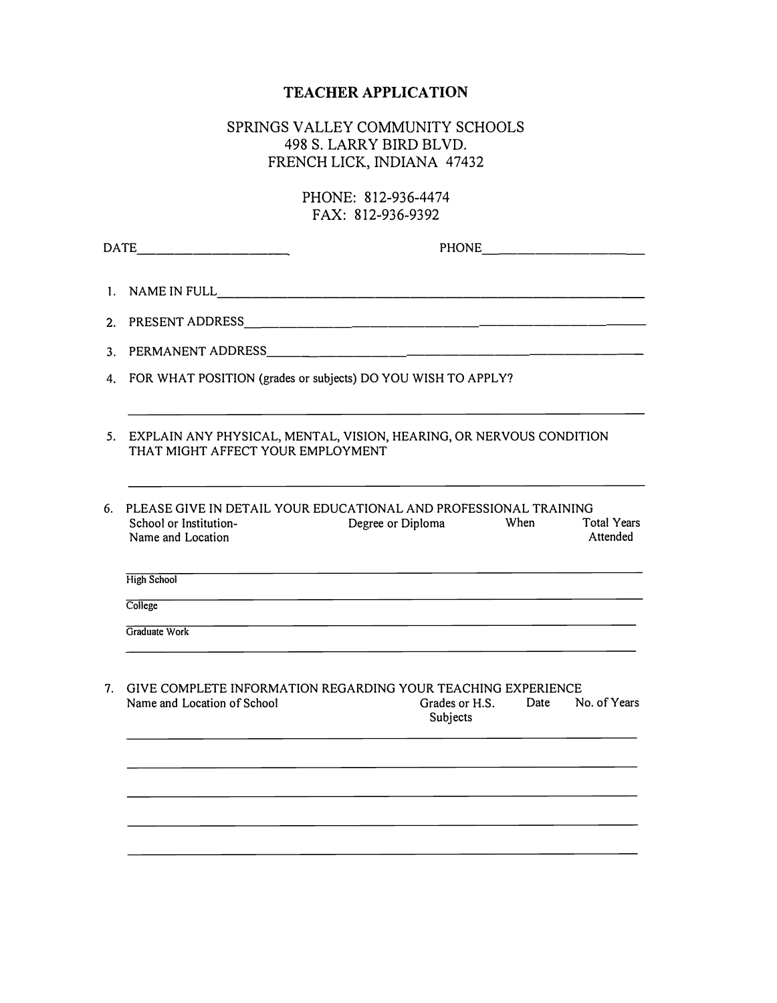## **TEACHER APPLICATION**

## SPRINGS VALLEY COMMUNITY SCHOOLS 498 S. LARRY BIRD BLVD. FRENCH LICK, INDIANA 47432

## PHONE: 812-936-4474 FAX: 812-936-9392

|                | $\text{DATE}$                                                                                                                                                                  |
|----------------|--------------------------------------------------------------------------------------------------------------------------------------------------------------------------------|
| 1.             |                                                                                                                                                                                |
| 2.             |                                                                                                                                                                                |
| 3.             |                                                                                                                                                                                |
|                | 4. FOR WHAT POSITION (grades or subjects) DO YOU WISH TO APPLY?                                                                                                                |
|                | 5. EXPLAIN ANY PHYSICAL, MENTAL, VISION, HEARING, OR NERVOUS CONDITION<br>THAT MIGHT AFFECT YOUR EMPLOYMENT                                                                    |
| 6.             | PLEASE GIVE IN DETAIL YOUR EDUCATIONAL AND PROFESSIONAL TRAINING<br>School or Institution-<br>Degree or Diploma<br>When<br><b>Total Years</b><br>Attended<br>Name and Location |
|                | <b>High School</b>                                                                                                                                                             |
|                | College                                                                                                                                                                        |
|                | the contract of the contract of the contract of the contract of the contract of<br>Graduate Work                                                                               |
| 7 <sup>7</sup> | GIVE COMPLETE INFORMATION REGARDING YOUR TEACHING EXPERIENCE<br>Grades or H.S.<br>Name and Location of School<br>Date<br>No. of Years<br>Subjects                              |
|                |                                                                                                                                                                                |
|                |                                                                                                                                                                                |
|                |                                                                                                                                                                                |
|                |                                                                                                                                                                                |